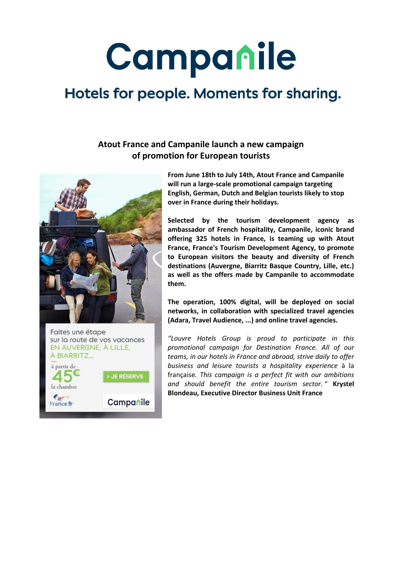# Campanile

## Hotels for people. Moments for sharing.

### **Atout France and Campanile launch a new campaign of promotion for European tourists**





**From June 18th to July 14th, Atout France and Campanile will run a large-scale promotional campaign targeting English, German, Dutch and Belgian tourists likely to stop over in France during their holidays.**

**Selected by the tourism development agency as ambassador of French hospitality, Campanile, iconic brand offering 325 hotels in France, is teaming up with Atout France, France's Tourism Development Agency, to promote to European visitors the beauty and diversity of French destinations (Auvergne, Biarritz Basque Country, Lille, etc.) as well as the offers made by Campanile to accommodate them.**

**The operation, 100% digital, will be deployed on social networks, in collaboration with specialized travel agencies (Adara, Travel Audience, ...) and online travel agencies.**

*"Louvre Hotels Group is proud to participate in this promotional campaign for Destination France. All of our teams, in our hotels in France and abroad, strive daily to offer business and leisure tourists a hospitality experience* à la française*. This campaign is a perfect fit with our ambitions and should benefit the entire tourism sector.* " **Krystel Blondeau, Executive Director Business Unit France**